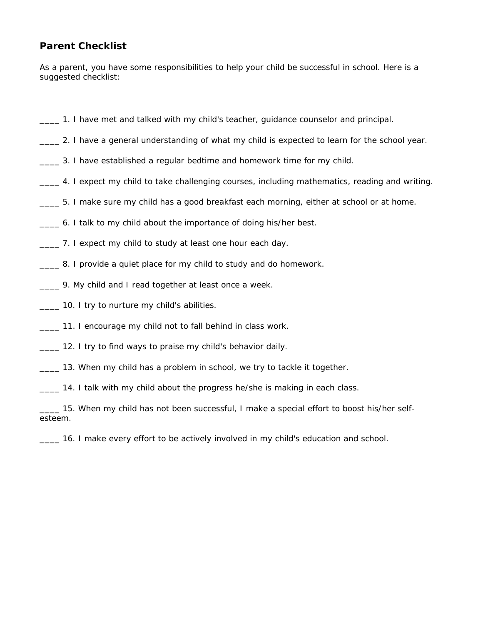## **Parent Checklist**

As a parent, you have some responsibilities to help your child be successful in school. Here is a suggested checklist:

- \_\_\_\_ 1. I have met and talked with my child's teacher, guidance counselor and principal.
- \_\_\_\_ 2. I have a general understanding of what my child is expected to learn for the school year.
- \_\_\_\_ 3. I have established a regular bedtime and homework time for my child.
- \_\_\_\_ 4. I expect my child to take challenging courses, including mathematics, reading and writing.
- \_\_\_\_ 5. I make sure my child has a good breakfast each morning, either at school or at home.
- \_\_\_\_ 6. I talk to my child about the importance of doing his/her best.
- \_\_\_\_ 7. I expect my child to study at least one hour each day.
- \_\_\_\_ 8. I provide a quiet place for my child to study and do homework.
- \_\_\_\_ 9. My child and I read together at least once a week.
- **\_\_\_\_** 10. I try to nurture my child's abilities.
- \_\_\_\_ 11. I encourage my child not to fall behind in class work.
- \_\_\_\_ 12. I try to find ways to praise my child's behavior daily.
- \_\_\_\_ 13. When my child has a problem in school, we try to tackle it together.

\_\_\_\_ 14. I talk with my child about the progress he/she is making in each class.

15. When my child has not been successful, I make a special effort to boost his/her selfesteem.

\_\_\_\_ 16. I make every effort to be actively involved in my child's education and school.